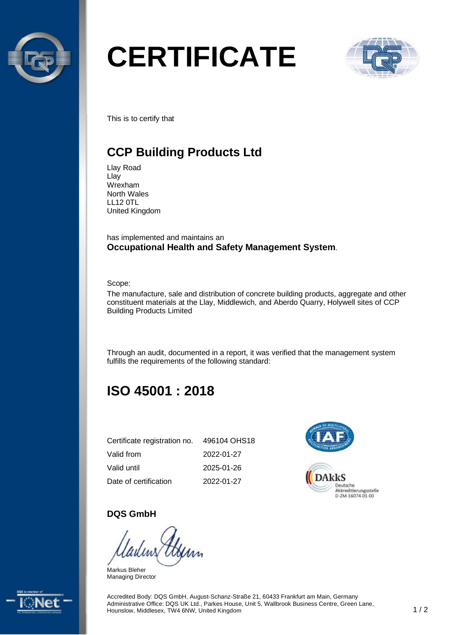

# **CERTIFICATE**



This is to certify that

# **CCP Building Products Ltd**

Llay Road Llay Wrexham North Wales LL12 0TL United Kingdom

has implemented and maintains an **Occupational Health and Safety Management System**.

Scope:

The manufacture, sale and distribution of concrete building products, aggregate and other constituent materials at the Llay, Middlewich, and Aberdo Quarry, Holywell sites of CCP Building Products Limited

Through an audit, documented in a report, it was verified that the management system fulfills the requirements of the following standard:

# **ISO 45001 : 2018**

| Certificate registration no. | 496104 OHS18 |
|------------------------------|--------------|
| Valid from                   | 2022-01-27   |
| Valid until                  | 2025-01-26   |
| Date of certification        | 2022-01-27   |



#### **DQS GmbH**

Markus Bleher Managing Director



Accredited Body: DQS GmbH, August-Schanz-Straße 21, 60433 Frankfurt am Main, Germany Administrative Office: DQS UK Ltd., Parkes House, Unit 5, Wallbrook Business Centre, Green Lane, Hounslow, Middlesex, TW4 6NW, United Kingdom 1 / 2